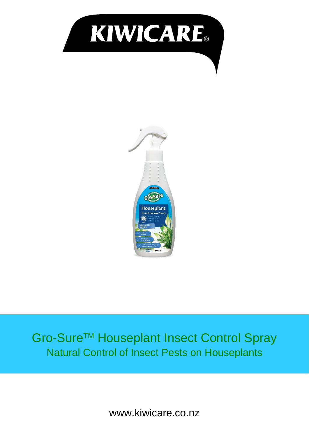



## Gro-Sure™ Houseplant Insect Control Spray Natural Control of Insect Pests on Houseplants

www.kiwicare.co.nz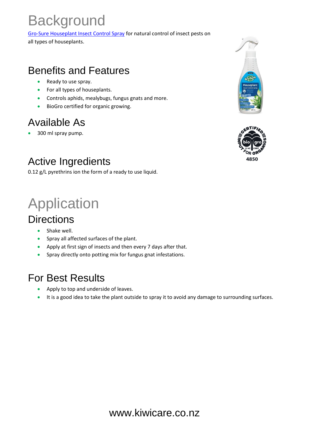## **Background**

[Gro-Sure Houseplant Insect Control Spray](https://www.kiwicare.co.nz/product/houseplant-insect-control-spray?utm_source=documents&utm_medium=tech_sheet&utm_campaign=houseplant_insect_control) for natural control of insect pests on

all types of houseplants.

## Benefits and Features

- Ready to use spray.
- For all types of houseplants.
- Controls aphids, mealybugs, fungus gnats and more.
- BioGro certified for organic growing.

## Available As

• 300 ml spray pump.

## Active Ingredients

0.12 g/L pyrethrins ion the form of a ready to use liquid.

## Application

#### **Directions**

- Shake well.
- Spray all affected surfaces of the plant.
- Apply at first sign of insects and then every 7 days after that.
- Spray directly onto potting mix for fungus gnat infestations.

#### For Best Results

- Apply to top and underside of leaves.
- It is a good idea to take the plant outside to spray it to avoid any damage to surrounding surfaces.



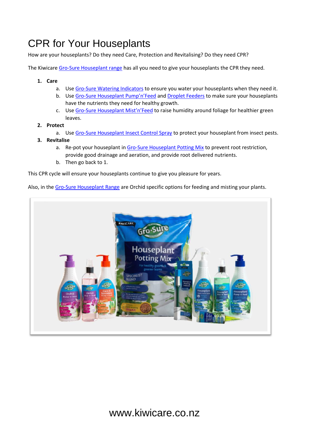## CPR for Your Houseplants

How are your houseplants? Do they need Care, Protection and Revitalising? Do they need CPR?

The Kiwicar[e Gro-Sure Houseplant range](https://www.kiwicare.co.nz/products/houseplant-products/?utm_source=documents&utm_medium=tech_sheet&utm_campaign=houseplant_range) has all you need to give your houseplants the CPR they need.

- **1. Care**
	- a. Use [Gro-Sure Watering Indicators](https://www.kiwicare.co.nz/product/houseplant-watering-indicator/?utm_source=documents&utm_medium=tech_sheet&utm_campaign=houseplant_watering_indicator) to ensure you water your houseplants when they need it.
	- b. Use Gro-[Sure Houseplant Pump'n'Feed](https://www.kiwicare.co.nz/product/houseplant-pumpnfeed/?utm_source=documents&utm_medium=tech_sheet&utm_campaign=houseplant_pumpnfeed) an[d Droplet Feeders](https://www.kiwicare.co.nz/product/houseplant-droplet-feeder/?utm_source=documents&utm_medium=tech_sheet&utm_campaign=houseplant_droplet_feeder) to make sure your houseplants have the nutrients they need for healthy growth.
	- c. Use Gro-[Sure Houseplant Mist'n'Feed](https://www.kiwicare.co.nz/product/houseplant-mistnfeed/?utm_source=documents&utm_medium=tech_sheet&utm_campaign=houseplant_mistnfeed) to raise humidity around foliage for healthier green leaves.
- **2. Protect**
	- a. Use [Gro-Sure Houseplant Insect Control Spray](https://www.kiwicare.co.nz/product/houseplant-insect-control-spray/?utm_source=documents&utm_medium=tech_sheet&utm_campaign=houseplant_insect_control) to protect your houseplant from insect pests.
- **3. Revitalise**
	- a. Re-pot your houseplant in [Gro-Sure Houseplant Potting Mix](https://www.kiwicare.co.nz/product/houseplant-potting-mix/?utm_source=documents&utm_medium=tech_sheet&utm_campaign=houseplant_potting_mix) to prevent root restriction, provide good drainage and aeration, and provide root delivered nutrients.
	- b. Then go back to 1.

This CPR cycle will ensure your houseplants continue to give you pleasure for years.

Also, in th[e Gro-Sure Houseplant Range](https://www.kiwicare.co.nz/assets/Uploads/Gro-Sure-Houseplant-Leaflet.pdf) are Orchid specific options for feeding and misting your plants.